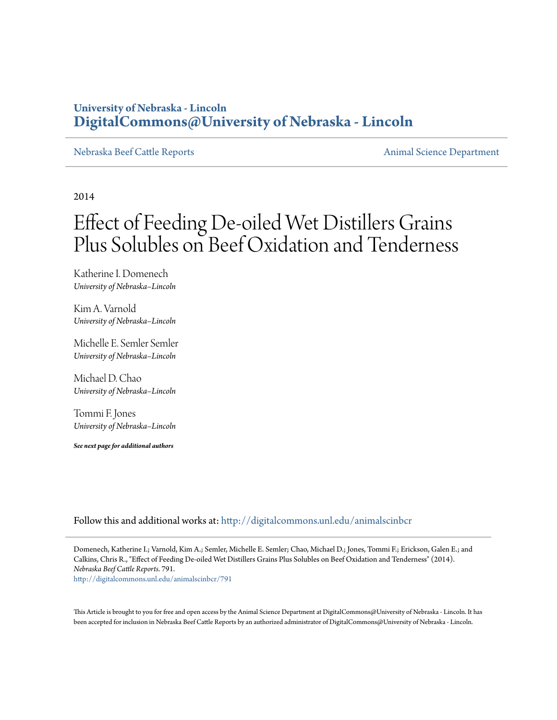### **University of Nebraska - Lincoln [DigitalCommons@University of Nebraska - Lincoln](http://digitalcommons.unl.edu?utm_source=digitalcommons.unl.edu%2Fanimalscinbcr%2F791&utm_medium=PDF&utm_campaign=PDFCoverPages)**

[Nebraska Beef Cattle Reports](http://digitalcommons.unl.edu/animalscinbcr?utm_source=digitalcommons.unl.edu%2Fanimalscinbcr%2F791&utm_medium=PDF&utm_campaign=PDFCoverPages) **[Animal Science Department](http://digitalcommons.unl.edu/ag_animal?utm_source=digitalcommons.unl.edu%2Fanimalscinbcr%2F791&utm_medium=PDF&utm_campaign=PDFCoverPages)** 

2014

# Effect of Feeding De-oiled Wet Distillers Grains Plus Solubles on Beef Oxidation and Tenderness

Katherine I. Domenech *University of Nebraska–Lincoln*

Kim A. Varnold *University of Nebraska–Lincoln*

Michelle E. Semler Semler *University of Nebraska–Lincoln*

Michael D. Chao *University of Nebraska–Lincoln*

Tommi F. Jones *University of Nebraska–Lincoln*

*See next page for additional authors*

Follow this and additional works at: [http://digitalcommons.unl.edu/animalscinbcr](http://digitalcommons.unl.edu/animalscinbcr?utm_source=digitalcommons.unl.edu%2Fanimalscinbcr%2F791&utm_medium=PDF&utm_campaign=PDFCoverPages)

Domenech, Katherine I.; Varnold, Kim A.; Semler, Michelle E. Semler; Chao, Michael D.; Jones, Tommi F.; Erickson, Galen E.; and Calkins, Chris R., "Effect of Feeding De-oiled Wet Distillers Grains Plus Solubles on Beef Oxidation and Tenderness" (2014). *Nebraska Beef Cattle Reports*. 791. [http://digitalcommons.unl.edu/animalscinbcr/791](http://digitalcommons.unl.edu/animalscinbcr/791?utm_source=digitalcommons.unl.edu%2Fanimalscinbcr%2F791&utm_medium=PDF&utm_campaign=PDFCoverPages)

This Article is brought to you for free and open access by the Animal Science Department at DigitalCommons@University of Nebraska - Lincoln. It has been accepted for inclusion in Nebraska Beef Cattle Reports by an authorized administrator of DigitalCommons@University of Nebraska - Lincoln.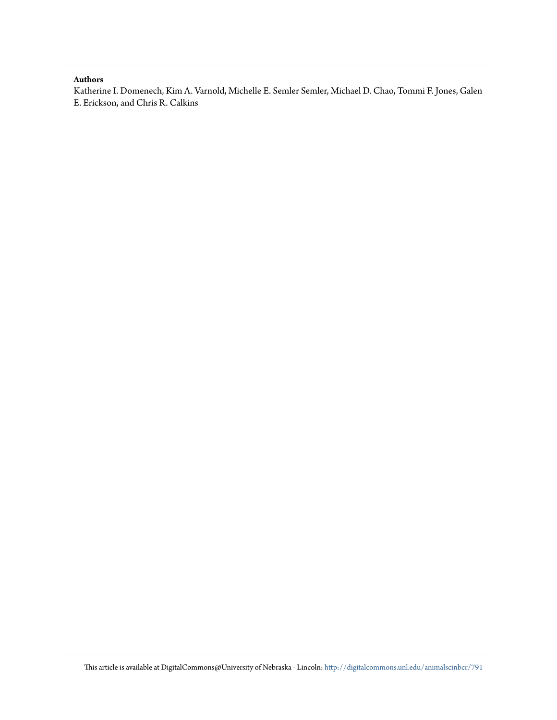#### **Authors**

Katherine I. Domenech, Kim A. Varnold, Michelle E. Semler Semler, Michael D. Chao, Tommi F. Jones, Galen E. Erickson, and Chris R. Calkins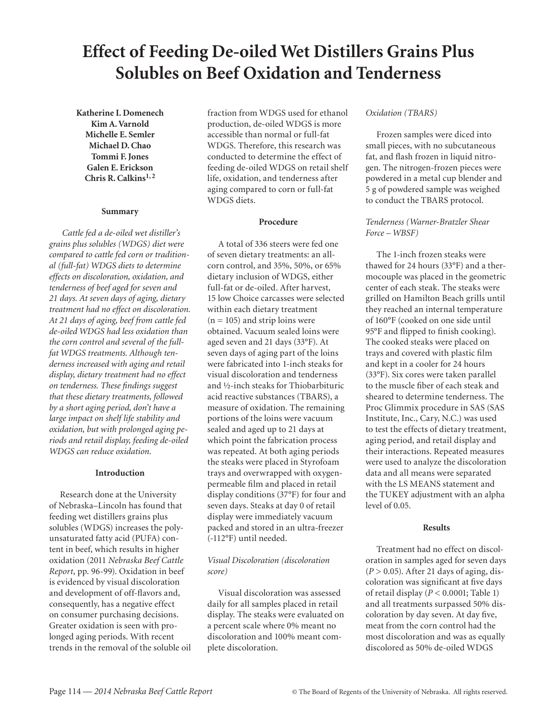## **Effect of Feeding De-oiled Wet Distillers Grains Plus Solubles on Beef Oxidation and Tenderness**

**Katherine I. Domenech Kim A. Varnold Michelle E. Semler Michael D. Chao Tommi F. Jones Galen E. Erickson Chris R. Calkins1, 2**

#### **Summary**

 *Cattle fed a de-oiled wet distiller's grains plus solubles (WDGS) diet were compared to cattle fed corn or traditional (full-fat) WDGS diets to determine effects on discoloration, oxidation, and tenderness of beef aged for seven and 21 days. At seven days of aging, dietary treatment had no effect on discoloration. At 21 days of aging, beef from cattle fed de-oiled WDGS had less oxidation than the corn control and several of the fullfat WDGS treatments. Although tenderness increased with aging and retail display, dietary treatment had no effect on tenderness. These findings suggest that these dietary treatments, followed by a short aging period, don't have a large impact on shelf life stability and oxidation, but with prolonged aging periods and retail display, feeding de-oiled WDGS can reduce oxidation.* 

#### **Introduction**

Research done at the University of Nebraska–Lincoln has found that feeding wet distillers grains plus solubles (WDGS) increases the polyunsaturated fatty acid (PUFA) content in beef, which results in higher oxidation (2011 *Nebraska Beef Cattle Report*, pp. 96-99). Oxidation in beef is evidenced by visual discoloration and development of off-flavors and, consequently, has a negative effect on consumer purchasing decisions. Greater oxidation is seen with prolonged aging periods. With recent trends in the removal of the soluble oil fraction from WDGS used for ethanol production, de-oiled WDGS is more accessible than normal or full-fat WDGS. Therefore, this research was conducted to determine the effect of feeding de-oiled WDGS on retail shelf life, oxidation, and tenderness after aging compared to corn or full-fat WDGS diets.

#### **Procedure**

A total of 336 steers were fed one of seven dietary treatments: an allcorn control, and 35%, 50%, or 65% dietary inclusion of WDGS, either full-fat or de-oiled. After harvest, 15 low Choice carcasses were selected within each dietary treatment  $(n = 105)$  and strip loins were obtained. Vacuum sealed loins were aged seven and 21 days (33°F). At seven days of aging part of the loins were fabricated into 1-inch steaks for visual discoloration and tenderness and ½-inch steaks for Thiobarbituric acid reactive substances (TBARS), a measure of oxidation. The remaining portions of the loins were vacuum sealed and aged up to 21 days at which point the fabrication process was repeated. At both aging periods the steaks were placed in Styrofoam trays and overwrapped with oxygenpermeable film and placed in retail display conditions (37°F) for four and seven days. Steaks at day 0 of retail display were immediately vacuum packed and stored in an ultra-freezer (-112°F) until needed.

#### *Visual Discoloration (discoloration score)*

Visual discoloration was assessed daily for all samples placed in retail display. The steaks were evaluated on a percent scale where 0% meant no discoloration and 100% meant complete discoloration.

#### *Oxidation (TBARS)*

Frozen samples were diced into small pieces, with no subcutaneous fat, and flash frozen in liquid nitrogen. The nitrogen-frozen pieces were powdered in a metal cup blender and 5 g of powdered sample was weighed to conduct the TBARS protocol.

#### *Tenderness (Warner-Bratzler Shear Force – WBSF)*

The 1-inch frozen steaks were thawed for 24 hours (33°F) and a thermocouple was placed in the geometric center of each steak. The steaks were grilled on Hamilton Beach grills until they reached an internal temperature of 160°F (cooked on one side until 95°F and flipped to finish cooking). The cooked steaks were placed on trays and covered with plastic film and kept in a cooler for 24 hours (33°F). Six cores were taken parallel to the muscle fiber of each steak and sheared to determine tenderness. The Proc Glimmix procedure in SAS (SAS Institute, Inc., Cary, N.C.) was used to test the effects of dietary treatment, aging period, and retail display and their interactions. Repeated measures were used to analyze the discoloration data and all means were separated with the LS MEANS statement and the TUKEY adjustment with an alpha level of 0.05.

#### **Results**

Treatment had no effect on discoloration in samples aged for seven days  $(P > 0.05)$ . After 21 days of aging, discoloration was significant at five days of retail display (*P* < 0.0001; Table 1) and all treatments surpassed 50% discoloration by day seven. At day five, meat from the corn control had the most discoloration and was as equally discolored as 50% de-oiled WDGS